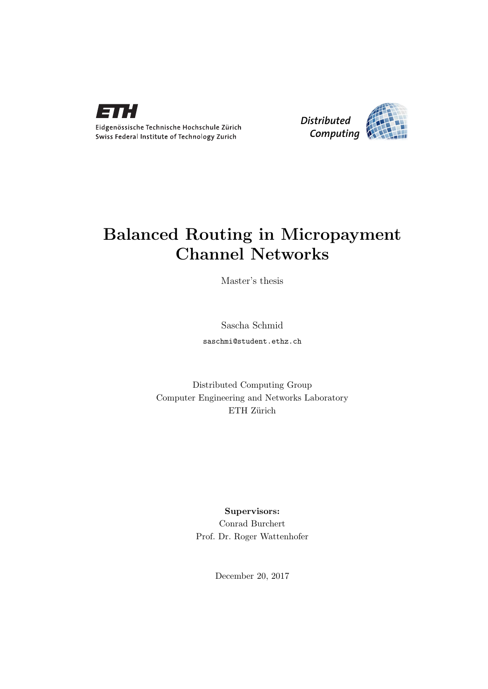



## Balanced Routing in Micropayment Channel Networks

Master's thesis

Sascha Schmid

saschmi@student.ethz.ch

Distributed Computing Group Computer Engineering and Networks Laboratory ETH Zürich

> Supervisors: Conrad Burchert Prof. Dr. Roger Wattenhofer

> > December 20, 2017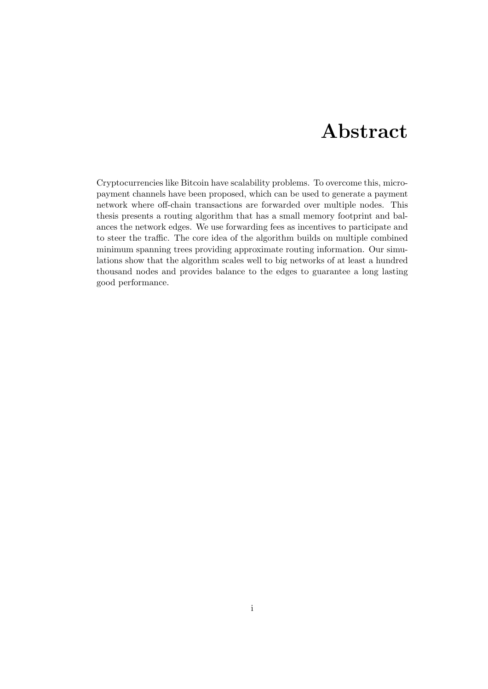# Abstract

<span id="page-1-0"></span>Cryptocurrencies like Bitcoin have scalability problems. To overcome this, micropayment channels have been proposed, which can be used to generate a payment network where off-chain transactions are forwarded over multiple nodes. This thesis presents a routing algorithm that has a small memory footprint and balances the network edges. We use forwarding fees as incentives to participate and to steer the traffic. The core idea of the algorithm builds on multiple combined minimum spanning trees providing approximate routing information. Our simulations show that the algorithm scales well to big networks of at least a hundred thousand nodes and provides balance to the edges to guarantee a long lasting good performance.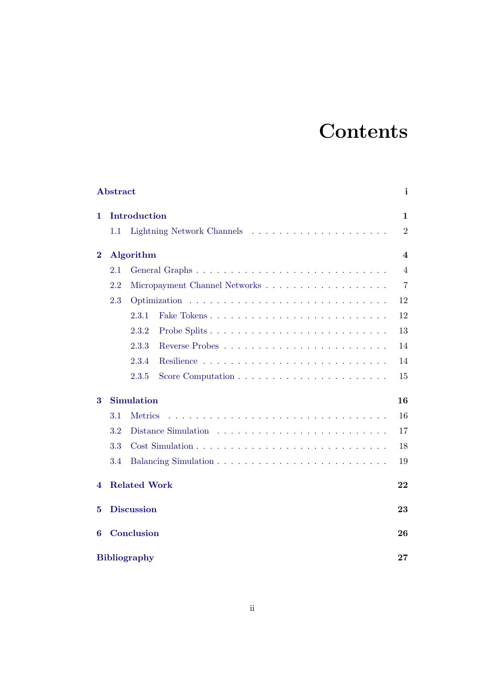# **Contents**

| Abstract<br>i       |                     |                   |                |
|---------------------|---------------------|-------------------|----------------|
| 1.                  |                     | Introduction      | $\mathbf{1}$   |
|                     | 1.1                 |                   | $\overline{2}$ |
| $\bf{2}$            |                     | Algorithm         | 4              |
|                     | 2.1                 |                   | $\overline{4}$ |
|                     | 2.2                 |                   | $\overline{7}$ |
|                     | 2.3                 |                   | 12             |
|                     |                     | 2.3.1             | 12             |
|                     |                     | 2.3.2             | 13             |
|                     |                     | 2.3.3             | 14             |
|                     |                     | 2.3.4             | 14             |
|                     |                     | 2.3.5             | 15             |
| 3                   |                     | <b>Simulation</b> | 16             |
|                     | 3.1                 | <b>Metrics</b>    | 16             |
|                     | 3.2                 |                   | 17             |
|                     | 3.3                 |                   | 18             |
|                     | 3.4                 |                   | 19             |
| 4                   | <b>Related Work</b> |                   |                |
| 5                   | <b>Discussion</b>   |                   |                |
| 6                   |                     | <b>Conclusion</b> | 26             |
| <b>Bibliography</b> |                     |                   | 27             |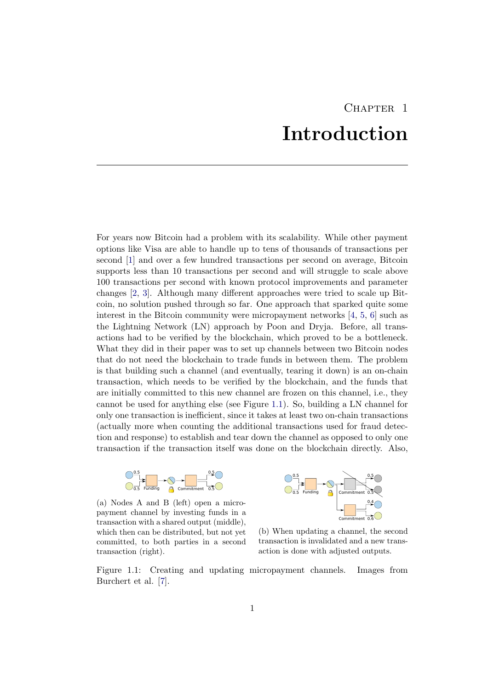# CHAPTER<sub>1</sub> Introduction

<span id="page-3-0"></span>For years now Bitcoin had a problem with its scalability. While other payment options like Visa are able to handle up to tens of thousands of transactions per second [\[1\]](#page-29-1) and over a few hundred transactions per second on average, Bitcoin supports less than 10 transactions per second and will struggle to scale above 100 transactions per second with known protocol improvements and parameter changes [\[2,](#page-29-2) [3\]](#page-29-3). Although many different approaches were tried to scale up Bitcoin, no solution pushed through so far. One approach that sparked quite some interest in the Bitcoin community were micropayment networks  $[4, 5, 6]$  $[4, 5, 6]$  $[4, 5, 6]$  $[4, 5, 6]$  $[4, 5, 6]$  such as the Lightning Network (LN) approach by Poon and Dryja. Before, all transactions had to be verified by the blockchain, which proved to be a bottleneck. What they did in their paper was to set up channels between two Bitcoin nodes that do not need the blockchain to trade funds in between them. The problem is that building such a channel (and eventually, tearing it down) is an on-chain transaction, which needs to be verified by the blockchain, and the funds that are initially committed to this new channel are frozen on this channel, i.e., they cannot be used for anything else (see Figure [1.1\)](#page-3-1). So, building a LN channel for only one transaction is inefficient, since it takes at least two on-chain transactions (actually more when counting the additional transactions used for fraud detection and response) to establish and tear down the channel as opposed to only one transaction if the transaction itself was done on the blockchain directly. Also,

<span id="page-3-1"></span>

(a) Nodes A and B (left) open a micropayment channel by investing funds in a transaction with a shared output (middle), which then can be distributed, but not yet committed, to both parties in a second transaction (right).



(b) When updating a channel, the second transaction is invalidated and a new transaction is done with adjusted outputs.

Figure 1.1: Creating and updating micropayment channels. Images from Burchert et al. [\[7\]](#page-29-7).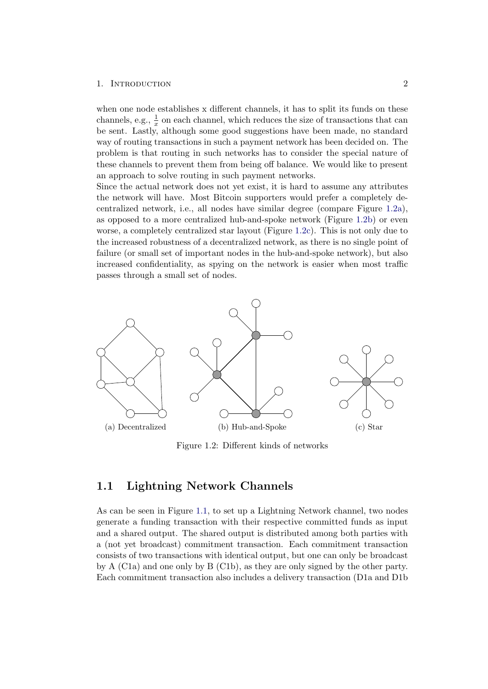## 1. INTRODUCTION 2

when one node establishes x different channels, it has to split its funds on these channels, e.g.,  $\frac{1}{x}$  on each channel, which reduces the size of transactions that can be sent. Lastly, although some good suggestions have been made, no standard way of routing transactions in such a payment network has been decided on. The problem is that routing in such networks has to consider the special nature of these channels to prevent them from being off balance. We would like to present an approach to solve routing in such payment networks.

Since the actual network does not yet exist, it is hard to assume any attributes the network will have. Most Bitcoin supporters would prefer a completely decentralized network, i.e., all nodes have similar degree (compare Figure [1.2a\)](#page-4-1), as opposed to a more centralized hub-and-spoke network (Figure [1.2b\)](#page-4-1) or even worse, a completely centralized star layout (Figure [1.2c\)](#page-4-1). This is not only due to the increased robustness of a decentralized network, as there is no single point of failure (or small set of important nodes in the hub-and-spoke network), but also increased confidentiality, as spying on the network is easier when most traffic passes through a small set of nodes.

<span id="page-4-1"></span>

Figure 1.2: Different kinds of networks

## <span id="page-4-0"></span>1.1 Lightning Network Channels

As can be seen in Figure [1.1,](#page-3-1) to set up a Lightning Network channel, two nodes generate a funding transaction with their respective committed funds as input and a shared output. The shared output is distributed among both parties with a (not yet broadcast) commitment transaction. Each commitment transaction consists of two transactions with identical output, but one can only be broadcast by A (C1a) and one only by B (C1b), as they are only signed by the other party. Each commitment transaction also includes a delivery transaction (D1a and D1b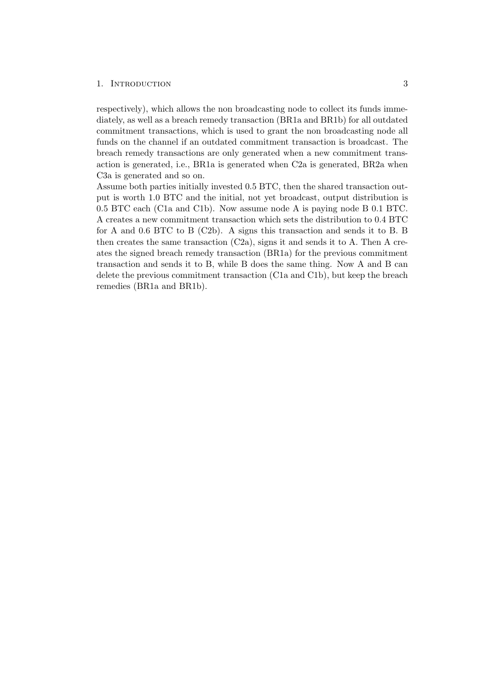### 1. INTRODUCTION 3

respectively), which allows the non broadcasting node to collect its funds immediately, as well as a breach remedy transaction (BR1a and BR1b) for all outdated commitment transactions, which is used to grant the non broadcasting node all funds on the channel if an outdated commitment transaction is broadcast. The breach remedy transactions are only generated when a new commitment transaction is generated, i.e., BR1a is generated when C2a is generated, BR2a when C3a is generated and so on.

Assume both parties initially invested 0.5 BTC, then the shared transaction output is worth 1.0 BTC and the initial, not yet broadcast, output distribution is 0.5 BTC each (C1a and C1b). Now assume node A is paying node B 0.1 BTC. A creates a new commitment transaction which sets the distribution to 0.4 BTC for A and 0.6 BTC to B (C2b). A signs this transaction and sends it to B. B then creates the same transaction  $(C2a)$ , signs it and sends it to A. Then A creates the signed breach remedy transaction (BR1a) for the previous commitment transaction and sends it to B, while B does the same thing. Now A and B can delete the previous commitment transaction (C1a and C1b), but keep the breach remedies (BR1a and BR1b).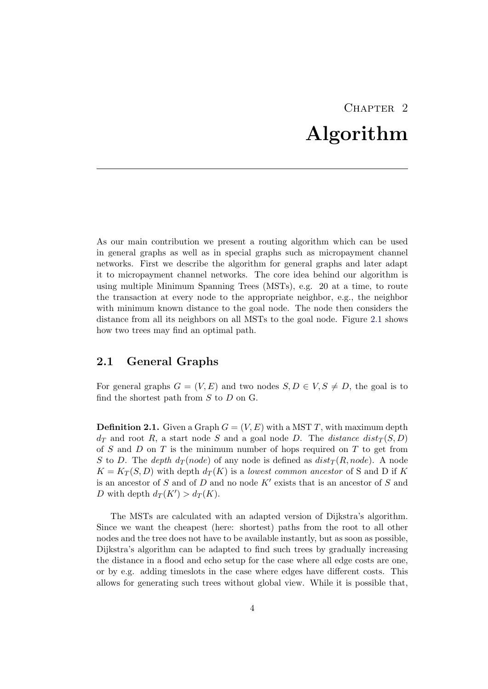# CHAPTER<sub>2</sub> Algorithm

<span id="page-6-0"></span>As our main contribution we present a routing algorithm which can be used in general graphs as well as in special graphs such as micropayment channel networks. First we describe the algorithm for general graphs and later adapt it to micropayment channel networks. The core idea behind our algorithm is using multiple Minimum Spanning Trees (MSTs), e.g. 20 at a time, to route the transaction at every node to the appropriate neighbor, e.g., the neighbor with minimum known distance to the goal node. The node then considers the distance from all its neighbors on all MSTs to the goal node. Figure [2.1](#page-7-0) shows how two trees may find an optimal path.

## <span id="page-6-1"></span>2.1 General Graphs

For general graphs  $G = (V, E)$  and two nodes  $S, D \in V, S \neq D$ , the goal is to find the shortest path from  $S$  to  $D$  on  $G$ .

**Definition 2.1.** Given a Graph  $G = (V, E)$  with a MST T, with maximum depth  $d_T$  and root R, a start node S and a goal node D. The distance  $dist_T(S, D)$ of S and D on T is the minimum number of hops required on T to get from S to D. The depth  $d_T(node)$  of any node is defined as  $dist_T(R, node)$ . A node  $K = K_T(S, D)$  with depth  $d_T(K)$  is a lowest common ancestor of S and D if K is an ancestor of S and of D and no node  $K'$  exists that is an ancestor of S and D with depth  $d_T(K') > d_T(K)$ .

The MSTs are calculated with an adapted version of Dijkstra's algorithm. Since we want the cheapest (here: shortest) paths from the root to all other nodes and the tree does not have to be available instantly, but as soon as possible, Dijkstra's algorithm can be adapted to find such trees by gradually increasing the distance in a flood and echo setup for the case where all edge costs are one, or by e.g. adding timeslots in the case where edges have different costs. This allows for generating such trees without global view. While it is possible that,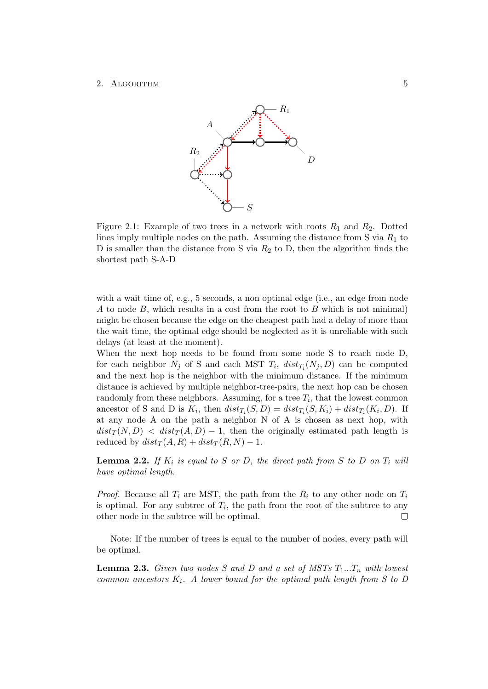<span id="page-7-0"></span>

Figure 2.1: Example of two trees in a network with roots  $R_1$  and  $R_2$ . Dotted lines imply multiple nodes on the path. Assuming the distance from S via  $R_1$  to D is smaller than the distance from S via  $R_2$  to D, then the algorithm finds the shortest path S-A-D

with a wait time of, e.g., 5 seconds, a non optimal edge (i.e., an edge from node A to node  $B$ , which results in a cost from the root to  $B$  which is not minimal) might be chosen because the edge on the cheapest path had a delay of more than the wait time, the optimal edge should be neglected as it is unreliable with such delays (at least at the moment).

When the next hop needs to be found from some node S to reach node D, for each neighbor  $N_j$  of S and each MST  $T_i$ ,  $dist_{T_i}(N_j, D)$  can be computed and the next hop is the neighbor with the minimum distance. If the minimum distance is achieved by multiple neighbor-tree-pairs, the next hop can be chosen randomly from these neighbors. Assuming, for a tree  $T_i$ , that the lowest common ancestor of S and D is  $K_i$ , then  $dist_{T_i}(S, D) = dist_{T_i}(S, K_i) + dist_{T_i}(K_i, D)$ . If at any node A on the path a neighbor N of A is chosen as next hop, with  $dist_T(N, D) < dist_T(A, D) - 1$ , then the originally estimated path length is reduced by  $dist_T(A, R) + dist_T(R, N) - 1$ .

**Lemma 2.2.** If  $K_i$  is equal to S or D, the direct path from S to D on  $T_i$  will have optimal length.

*Proof.* Because all  $T_i$  are MST, the path from the  $R_i$  to any other node on  $T_i$ is optimal. For any subtree of  $T_i$ , the path from the root of the subtree to any other node in the subtree will be optimal.  $\Box$ 

Note: If the number of trees is equal to the number of nodes, every path will be optimal.

<span id="page-7-1"></span>**Lemma 2.3.** Given two nodes S and D and a set of MSTs  $T_1...T_n$  with lowest common ancestors  $K_i$ . A lower bound for the optimal path length from S to D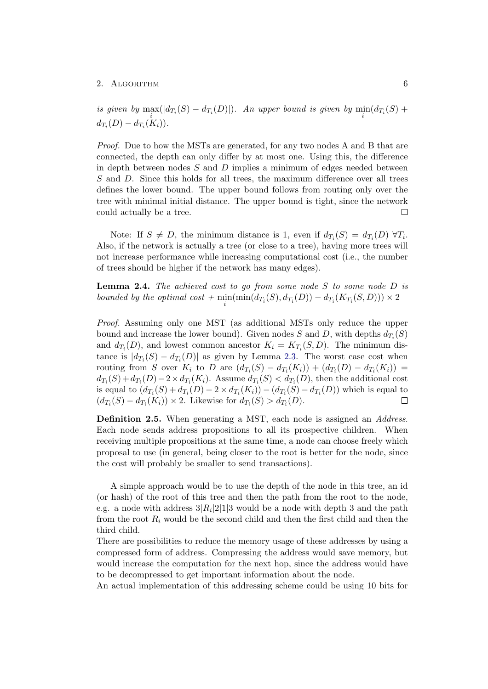is given by  $\max_i(|d_{T_i}(S) - d_{T_i}(D)|)$ . An upper bound is given by  $\min_i(d_{T_i}(S) + d_{T_i}(S))$  $d_{T_i}(D) - d_{T_i}(K_i)).$ 

Proof. Due to how the MSTs are generated, for any two nodes A and B that are connected, the depth can only differ by at most one. Using this, the difference in depth between nodes  $S$  and  $D$  implies a minimum of edges needed between S and D. Since this holds for all trees, the maximum difference over all trees defines the lower bound. The upper bound follows from routing only over the tree with minimal initial distance. The upper bound is tight, since the network could actually be a tree. П

Note: If  $S \neq D$ , the minimum distance is 1, even if  $d_{T_i}(S) = d_{T_i}(D) \,\,\forall T_i$ . Also, if the network is actually a tree (or close to a tree), having more trees will not increase performance while increasing computational cost (i.e., the number of trees should be higher if the network has many edges).

**Lemma 2.4.** The achieved cost to go from some node  $S$  to some node  $D$  is bounded by the optimal cost +  $\min_i(\min(d_{T_i}(S), d_{T_i}(D)) - d_{T_i}(K_{T_i}(S, D))) \times 2$ 

Proof. Assuming only one MST (as additional MSTs only reduce the upper bound and increase the lower bound). Given nodes S and D, with depths  $d_{T_i}(S)$ and  $d_{T_i}(D)$ , and lowest common ancestor  $K_i = K_{T_i}(S, D)$ . The minimum distance is  $|d_{T_i}(S) - d_{T_i}(D)|$  as given by Lemma [2.3.](#page-7-1) The worst case cost when routing from S over  $K_i$  to D are  $(d_{T_i}(S) - d_{T_i}(K_i)) + (d_{T_i}(D) - d_{T_i}(K_i)) =$  $d_{T_i}(S) + d_{T_i}(D) - 2 \times d_{T_i}(K_i)$ . Assume  $d_{T_i}(S) < d_{T_i}(D)$ , then the additional cost is equal to  $(d_{T_i}(S) + d_{T_i}(D) - 2 \times d_{T_i}(K_i)) - (d_{T_i}(S) - d_{T_i}(D))$  which is equal to  $(d_{T_i}(S) - d_{T_i}(K_i)) \times 2$ . Likewise for  $d_{T_i}(S) > d_{T_i}(D)$ .  $\Box$ 

<span id="page-8-0"></span>Definition 2.5. When generating a MST, each node is assigned an Address. Each node sends address propositions to all its prospective children. When receiving multiple propositions at the same time, a node can choose freely which proposal to use (in general, being closer to the root is better for the node, since the cost will probably be smaller to send transactions).

A simple approach would be to use the depth of the node in this tree, an id (or hash) of the root of this tree and then the path from the root to the node, e.g. a node with address  $3|R_i|2|1|3$  would be a node with depth 3 and the path from the root  $R_i$  would be the second child and then the first child and then the third child.

There are possibilities to reduce the memory usage of these addresses by using a compressed form of address. Compressing the address would save memory, but would increase the computation for the next hop, since the address would have to be decompressed to get important information about the node.

An actual implementation of this addressing scheme could be using 10 bits for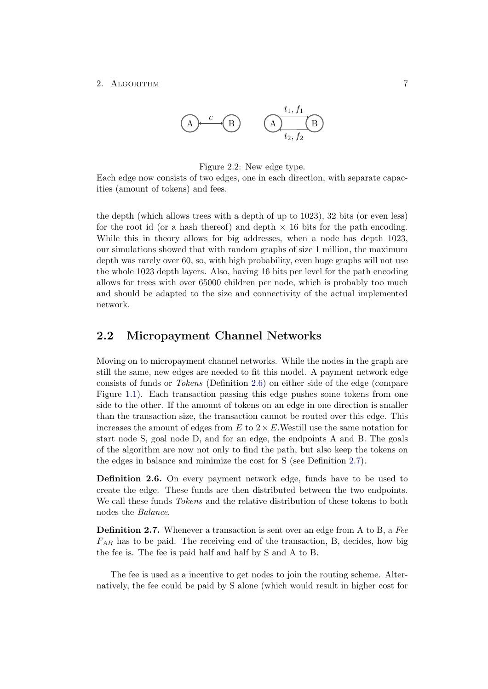$$
(A) \qquad C \qquad (B) \qquad (A) \qquad (B) \qquad (C) \qquad (C) \qquad (D) \qquad (D) \qquad (E) \qquad (E) \qquad (E) \qquad (E) \qquad (E) \qquad (E) \qquad (E) \qquad (E) \qquad (E) \qquad (E) \qquad (E) \qquad (E) \qquad (E) \qquad (E) \qquad (E) \qquad (E) \qquad (E) \qquad (E) \qquad (E) \qquad (E) \qquad (E) \qquad (E) \qquad (E) \qquad (E) \qquad (E) \qquad (E) \qquad (E) \qquad (E) \qquad (E) \qquad (E) \qquad (E) \qquad (E) \qquad (E) \qquad (E) \qquad (E) \qquad (E) \qquad (E) \qquad (E) \qquad (E) \qquad (E) \qquad (E) \qquad (E) \qquad (E) \qquad (E) \qquad (E) \qquad (E) \qquad (E) \qquad (E) \qquad (E) \qquad (E) \qquad (E) \qquad (E) \qquad (E) \qquad (E) \qquad (E) \qquad (E) \qquad (E) \qquad (E) \qquad (E) \qquad (E) \qquad (E) \qquad (E) \qquad (E) \qquad (E) \qquad (E) \qquad (E) \qquad (E) \qquad (E) \qquad (E) \qquad (E) \qquad (E) \qquad (E) \qquad (E) \qquad (E) \qquad (E) \qquad (E) \qquad (E) \qquad (E) \qquad (E) \qquad (E) \qquad (E) \qquad (E) \qquad (E) \qquad (E) \qquad (E) \qquad (E) \qquad (E) \qquad (E) \qquad (E) \qquad (E) \qquad (E) \qquad (E) \qquad (E) \qquad (E) \qquad (E) \qquad (E) \qquad (E) \qquad (E) \qquad (E) \qquad (E) \qquad (E) \qquad (E) \qquad (E) \qquad (E) \qquad (E) \qquad (E) \qquad (E) \qquad (E) \qquad (E) \qquad (E) \qquad (E) \qquad (E) \qquad (E) \qquad (E) \qquad (E) \qquad (E) \qquad (E) \qquad (E) \qquad
$$

### Figure 2.2: New edge type.

Each edge now consists of two edges, one in each direction, with separate capacities (amount of tokens) and fees.

the depth (which allows trees with a depth of up to 1023), 32 bits (or even less) for the root id (or a hash thereof) and depth  $\times$  16 bits for the path encoding. While this in theory allows for big addresses, when a node has depth 1023, our simulations showed that with random graphs of size 1 million, the maximum depth was rarely over 60, so, with high probability, even huge graphs will not use the whole 1023 depth layers. Also, having 16 bits per level for the path encoding allows for trees with over 65000 children per node, which is probably too much and should be adapted to the size and connectivity of the actual implemented network.

## <span id="page-9-0"></span>2.2 Micropayment Channel Networks

Moving on to micropayment channel networks. While the nodes in the graph are still the same, new edges are needed to fit this model. A payment network edge consists of funds or Tokens (Definition [2.6\)](#page-9-1) on either side of the edge (compare Figure [1.1\)](#page-3-1). Each transaction passing this edge pushes some tokens from one side to the other. If the amount of tokens on an edge in one direction is smaller than the transaction size, the transaction cannot be routed over this edge. This increases the amount of edges from  $E$  to  $2 \times E$ . Westill use the same notation for start node S, goal node D, and for an edge, the endpoints A and B. The goals of the algorithm are now not only to find the path, but also keep the tokens on the edges in balance and minimize the cost for S (see Definition [2.7\)](#page-9-2).

<span id="page-9-1"></span>Definition 2.6. On every payment network edge, funds have to be used to create the edge. These funds are then distributed between the two endpoints. We call these funds *Tokens* and the relative distribution of these tokens to both nodes the Balance.

<span id="page-9-2"></span>**Definition 2.7.** Whenever a transaction is sent over an edge from A to B, a Fee  $F_{AB}$  has to be paid. The receiving end of the transaction, B, decides, how big the fee is. The fee is paid half and half by S and A to B.

The fee is used as a incentive to get nodes to join the routing scheme. Alternatively, the fee could be paid by S alone (which would result in higher cost for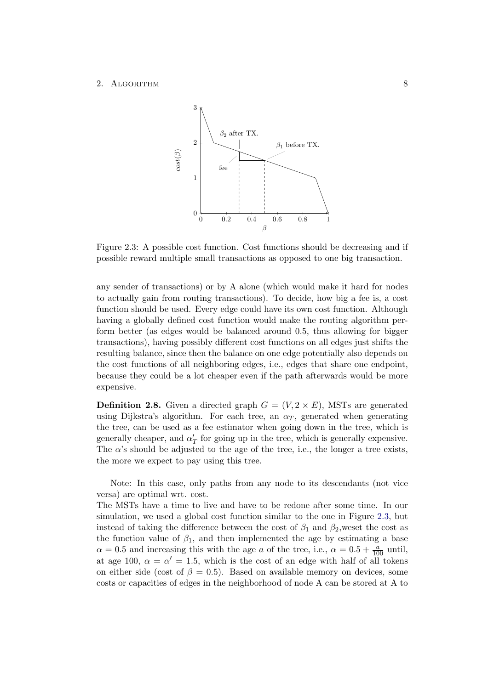<span id="page-10-0"></span>

Figure 2.3: A possible cost function. Cost functions should be decreasing and if possible reward multiple small transactions as opposed to one big transaction.

any sender of transactions) or by A alone (which would make it hard for nodes to actually gain from routing transactions). To decide, how big a fee is, a cost function should be used. Every edge could have its own cost function. Although having a globally defined cost function would make the routing algorithm perform better (as edges would be balanced around 0.5, thus allowing for bigger transactions), having possibly different cost functions on all edges just shifts the resulting balance, since then the balance on one edge potentially also depends on the cost functions of all neighboring edges, i.e., edges that share one endpoint, because they could be a lot cheaper even if the path afterwards would be more expensive.

<span id="page-10-1"></span>**Definition 2.8.** Given a directed graph  $G = (V, 2 \times E)$ , MSTs are generated using Dijkstra's algorithm. For each tree, an  $\alpha_T$ , generated when generating the tree, can be used as a fee estimator when going down in the tree, which is generally cheaper, and  $\alpha'_T$  for going up in the tree, which is generally expensive. The  $\alpha$ 's should be adjusted to the age of the tree, i.e., the longer a tree exists. the more we expect to pay using this tree.

Note: In this case, only paths from any node to its descendants (not vice versa) are optimal wrt. cost.

The MSTs have a time to live and have to be redone after some time. In our simulation, we used a global cost function similar to the one in Figure [2.3,](#page-10-0) but instead of taking the difference between the cost of  $\beta_1$  and  $\beta_2$ , weset the cost as the function value of  $\beta_1$ , and then implemented the age by estimating a base  $\alpha = 0.5$  and increasing this with the age a of the tree, i.e.,  $\alpha = 0.5 + \frac{a}{100}$  until, at age 100,  $\alpha = \alpha' = 1.5$ , which is the cost of an edge with half of all tokens on either side (cost of  $\beta = 0.5$ ). Based on available memory on devices, some costs or capacities of edges in the neighborhood of node A can be stored at A to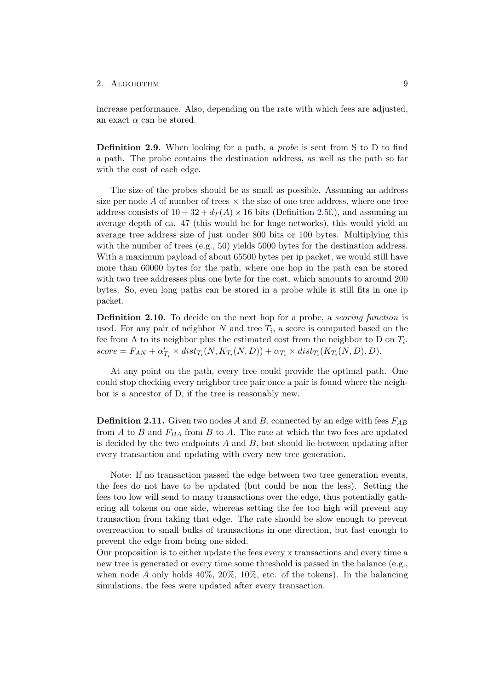increase performance. Also, depending on the rate with which fees are adjusted, an exact  $\alpha$  can be stored.

Definition 2.9. When looking for a path, a probe is sent from S to D to find a path. The probe contains the destination address, as well as the path so far with the cost of each edge.

The size of the probes should be as small as possible. Assuming an address size per node  $A$  of number of trees  $\times$  the size of one tree address, where one tree address consists of  $10+32+d_T(A)\times 16$  bits (Definition [2.5f](#page-8-0).), and assuming an average depth of ca. 47 (this would be for huge networks), this would yield an average tree address size of just under 800 bits or 100 bytes. Multiplying this with the number of trees (e.g., 50) yields 5000 bytes for the destination address. With a maximum payload of about 65500 bytes per ip packet, we would still have more than 60000 bytes for the path, where one hop in the path can be stored with two tree addresses plus one byte for the cost, which amounts to around 200 bytes. So, even long paths can be stored in a probe while it still fits in one ip packet.

Definition 2.10. To decide on the next hop for a probe, a *scoring function* is used. For any pair of neighbor N and tree  $T_i$ , a score is computed based on the fee from A to its neighbor plus the estimated cost from the neighbor to D on  $T_i$ .  $score = F_{AN} + \alpha'_{T_i} \times dist_{T_i}(N, K_{T_i}(N, D)) + \alpha_{T_i} \times dist_{T_i}(K_{T_i}(N, D), D).$ 

At any point on the path, every tree could provide the optimal path. One could stop checking every neighbor tree pair once a pair is found where the neighbor is a ancestor of D, if the tree is reasonably new.

**Definition 2.11.** Given two nodes A and B, connected by an edge with fees  $F_{AB}$ from A to B and  $F_{BA}$  from B to A. The rate at which the two fees are updated is decided by the two endpoints  $A$  and  $B$ , but should lie between updating after every transaction and updating with every new tree generation.

Note: If no transaction passed the edge between two tree generation events, the fees do not have to be updated (but could be non the less). Setting the fees too low will send to many transactions over the edge, thus potentially gathering all tokens on one side, whereas setting the fee too high will prevent any transaction from taking that edge. The rate should be slow enough to prevent overreaction to small bulks of transactions in one direction, but fast enough to prevent the edge from being one sided.

Our proposition is to either update the fees every x transactions and every time a new tree is generated or every time some threshold is passed in the balance (e.g., when node  $A$  only holds  $40\%$ ,  $20\%$ ,  $10\%$ , etc. of the tokens). In the balancing simulations, the fees were updated after every transaction.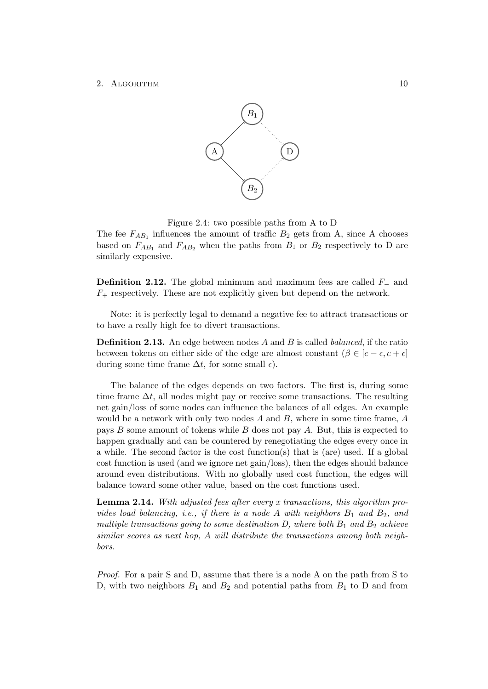<span id="page-12-0"></span>

Figure 2.4: two possible paths from A to D

The fee  $F_{AB_1}$  influences the amount of traffic  $B_2$  gets from A, since A chooses based on  $F_{AB_1}$  and  $F_{AB_2}$  when the paths from  $B_1$  or  $B_2$  respectively to D are similarly expensive.

**Definition 2.12.** The global minimum and maximum fees are called  $F_-\$  and  $F_{+}$  respectively. These are not explicitly given but depend on the network.

Note: it is perfectly legal to demand a negative fee to attract transactions or to have a really high fee to divert transactions.

**Definition 2.13.** An edge between nodes  $A$  and  $B$  is called *balanced*, if the ratio between tokens on either side of the edge are almost constant  $(\beta \in [c - \epsilon, c + \epsilon]$ during some time frame  $\Delta t$ , for some small  $\epsilon$ ).

The balance of the edges depends on two factors. The first is, during some time frame  $\Delta t$ , all nodes might pay or receive some transactions. The resulting net gain/loss of some nodes can influence the balances of all edges. An example would be a network with only two nodes  $A$  and  $B$ , where in some time frame,  $A$ pays B some amount of tokens while B does not pay A. But, this is expected to happen gradually and can be countered by renegotiating the edges every once in a while. The second factor is the cost function(s) that is (are) used. If a global cost function is used (and we ignore net gain/loss), then the edges should balance around even distributions. With no globally used cost function, the edges will balance toward some other value, based on the cost functions used.

Lemma 2.14. With adjusted fees after every x transactions, this algorithm provides load balancing, i.e., if there is a node A with neighbors  $B_1$  and  $B_2$ , and multiple transactions going to some destination  $D$ , where both  $B_1$  and  $B_2$  achieve similar scores as next hop, A will distribute the transactions among both neighbors.

Proof. For a pair S and D, assume that there is a node A on the path from S to D, with two neighbors  $B_1$  and  $B_2$  and potential paths from  $B_1$  to D and from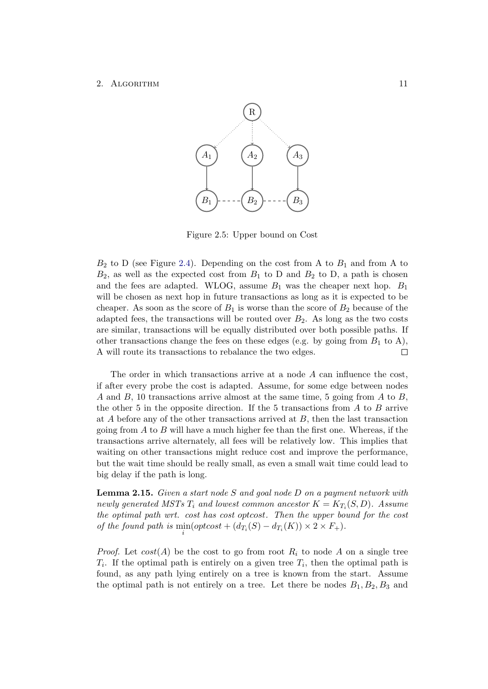<span id="page-13-0"></span>

Figure 2.5: Upper bound on Cost

 $B_2$  to D (see Figure [2.4\)](#page-12-0). Depending on the cost from A to  $B_1$  and from A to  $B_2$ , as well as the expected cost from  $B_1$  to D and  $B_2$  to D, a path is chosen and the fees are adapted. WLOG, assume  $B_1$  was the cheaper next hop.  $B_1$ will be chosen as next hop in future transactions as long as it is expected to be cheaper. As soon as the score of  $B_1$  is worse than the score of  $B_2$  because of the adapted fees, the transactions will be routed over  $B_2$ . As long as the two costs are similar, transactions will be equally distributed over both possible paths. If other transactions change the fees on these edges (e.g. by going from  $B_1$  to A), A will route its transactions to rebalance the two edges.  $\Box$ 

The order in which transactions arrive at a node  $A$  can influence the cost, if after every probe the cost is adapted. Assume, for some edge between nodes A and B, 10 transactions arrive almost at the same time, 5 going from A to B, the other 5 in the opposite direction. If the 5 transactions from  $A$  to  $B$  arrive at  $A$  before any of the other transactions arrived at  $B$ , then the last transaction going from  $A$  to  $B$  will have a much higher fee than the first one. Whereas, if the transactions arrive alternately, all fees will be relatively low. This implies that waiting on other transactions might reduce cost and improve the performance, but the wait time should be really small, as even a small wait time could lead to big delay if the path is long.

Lemma 2.15. Given a start node S and goal node D on a payment network with newly generated MSTs  $T_i$  and lowest common ancestor  $K = K_{T_i}(S, D)$ . Assume the optimal path wrt. cost has cost optcost. Then the upper bound for the cost of the found path is  $\min_i(\text{optcost} + (d_{T_i}(S) - d_{T_i}(K)) \times 2 \times F_+)$ .

*Proof.* Let  $cost(A)$  be the cost to go from root  $R_i$  to node A on a single tree  $T_i$ . If the optimal path is entirely on a given tree  $T_i$ , then the optimal path is found, as any path lying entirely on a tree is known from the start. Assume the optimal path is not entirely on a tree. Let there be nodes  $B_1, B_2, B_3$  and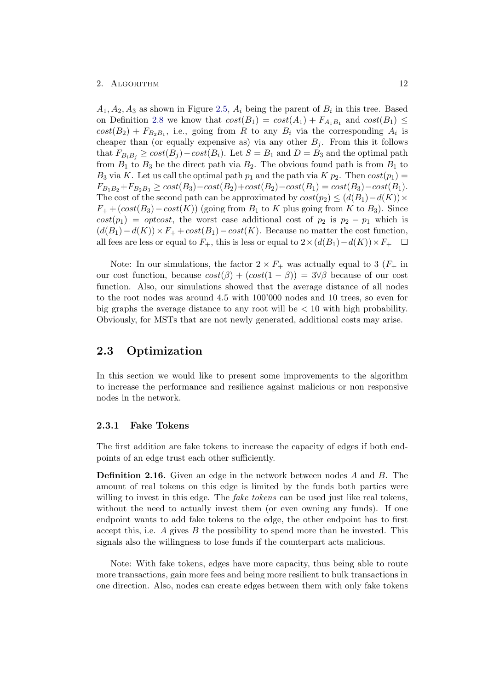$A_1, A_2, A_3$  as shown in Figure [2.5,](#page-13-0)  $A_i$  being the parent of  $B_i$  in this tree. Based on Definition [2.8](#page-10-1) we know that  $cost(B_1) = cost(A_1) + F_{A_1B_1}$  and  $cost(B_1) \le$  $cost(B_2) + F_{B_2B_1}$ , i.e., going from R to any  $B_i$  via the corresponding  $A_i$  is cheaper than (or equally expensive as) via any other  $B_i$ . From this it follows that  $F_{B_i B_j} \geq cost(B_j) - cost(B_i)$ . Let  $S = B_1$  and  $D = B_3$  and the optimal path from  $B_1$  to  $B_3$  be the direct path via  $B_2$ . The obvious found path is from  $B_1$  to  $B_3$  via K. Let us call the optimal path  $p_1$  and the path via K  $p_2$ . Then  $cost(p_1)$  =  $F_{B_1B_2}+F_{B_2B_3} \ge cost(B_3)-cost(B_2)+cost(B_2)-cost(B_1)=cost(B_3)-cost(B_1).$ The cost of the second path can be approximated by  $cost(p_2) \leq (d(B_1)-d(K)) \times$  $F_+$  +  $(cost(B_3) - cost(K))$  (going from  $B_1$  to K plus going from K to  $B_3$ ). Since  $cost(p_1) = optcost$ , the worst case additional cost of  $p_2$  is  $p_2 - p_1$  which is  $(d(B_1)-d(K))\times F_+ + cost(B_1)-cost(K)$ . Because no matter the cost function, all fees are less or equal to  $F_+$ , this is less or equal to  $2 \times (d(B_1) - d(K)) \times F_+$ 

Note: In our simulations, the factor  $2 \times F_+$  was actually equal to 3 ( $F_+$  in our cost function, because  $cost(\beta) + (cost(1 - \beta)) = 3\forall \beta$  because of our cost function. Also, our simulations showed that the average distance of all nodes to the root nodes was around 4.5 with 100'000 nodes and 10 trees, so even for big graphs the average distance to any root will be  $\lt 10$  with high probability. Obviously, for MSTs that are not newly generated, additional costs may arise.

## <span id="page-14-0"></span>2.3 Optimization

In this section we would like to present some improvements to the algorithm to increase the performance and resilience against malicious or non responsive nodes in the network.

## <span id="page-14-1"></span>2.3.1 Fake Tokens

The first addition are fake tokens to increase the capacity of edges if both endpoints of an edge trust each other sufficiently.

Definition 2.16. Given an edge in the network between nodes A and B. The amount of real tokens on this edge is limited by the funds both parties were willing to invest in this edge. The *fake tokens* can be used just like real tokens, without the need to actually invest them (or even owning any funds). If one endpoint wants to add fake tokens to the edge, the other endpoint has to first accept this, i.e.  $A$  gives  $B$  the possibility to spend more than he invested. This signals also the willingness to lose funds if the counterpart acts malicious.

Note: With fake tokens, edges have more capacity, thus being able to route more transactions, gain more fees and being more resilient to bulk transactions in one direction. Also, nodes can create edges between them with only fake tokens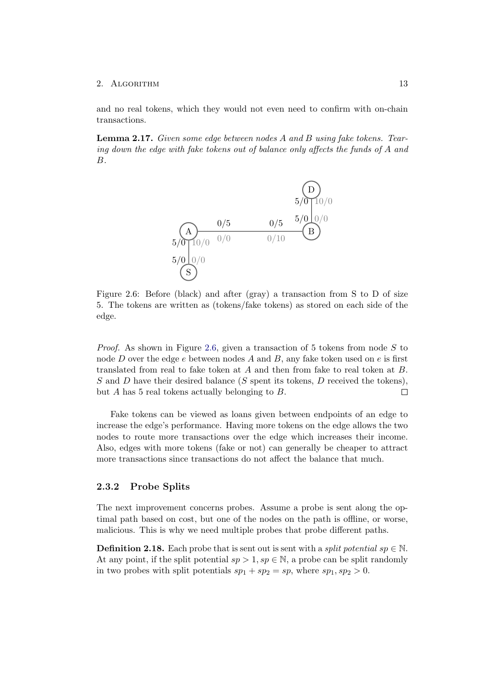and no real tokens, which they would not even need to confirm with on-chain transactions.

<span id="page-15-1"></span>Lemma 2.17. Given some edge between nodes A and B using fake tokens. Tearing down the edge with fake tokens out of balance only affects the funds of A and B.



Figure 2.6: Before (black) and after (gray) a transaction from S to D of size 5. The tokens are written as (tokens/fake tokens) as stored on each side of the edge.

*Proof.* As shown in Figure [2.6,](#page-15-1) given a transaction of 5 tokens from node  $S$  to node D over the edge  $e$  between nodes A and B, any fake token used on  $e$  is first translated from real to fake token at A and then from fake to real token at B. S and D have their desired balance (S spent its tokens, D received the tokens), but A has 5 real tokens actually belonging to B.  $\Box$ 

Fake tokens can be viewed as loans given between endpoints of an edge to increase the edge's performance. Having more tokens on the edge allows the two nodes to route more transactions over the edge which increases their income. Also, edges with more tokens (fake or not) can generally be cheaper to attract more transactions since transactions do not affect the balance that much.

## <span id="page-15-0"></span>2.3.2 Probe Splits

The next improvement concerns probes. Assume a probe is sent along the optimal path based on cost, but one of the nodes on the path is offline, or worse, malicious. This is why we need multiple probes that probe different paths.

**Definition 2.18.** Each probe that is sent out is sent with a *split potential sp*  $\in \mathbb{N}$ . At any point, if the split potential  $sp > 1, sp \in \mathbb{N}$ , a probe can be split randomly in two probes with split potentials  $sp_1 + sp_2 = sp$ , where  $sp_1, sp_2 > 0$ .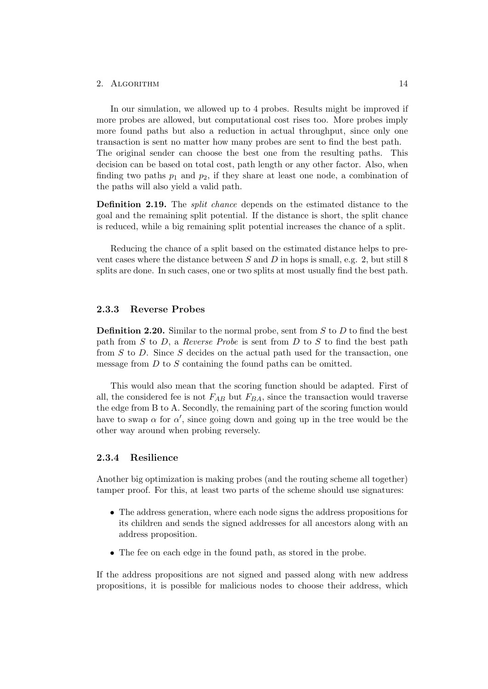In our simulation, we allowed up to 4 probes. Results might be improved if more probes are allowed, but computational cost rises too. More probes imply more found paths but also a reduction in actual throughput, since only one transaction is sent no matter how many probes are sent to find the best path. The original sender can choose the best one from the resulting paths. This decision can be based on total cost, path length or any other factor. Also, when finding two paths  $p_1$  and  $p_2$ , if they share at least one node, a combination of the paths will also yield a valid path.

Definition 2.19. The split chance depends on the estimated distance to the goal and the remaining split potential. If the distance is short, the split chance is reduced, while a big remaining split potential increases the chance of a split.

Reducing the chance of a split based on the estimated distance helps to prevent cases where the distance between  $S$  and  $D$  in hops is small, e.g. 2, but still 8 splits are done. In such cases, one or two splits at most usually find the best path.

### <span id="page-16-0"></span>2.3.3 Reverse Probes

**Definition 2.20.** Similar to the normal probe, sent from  $S$  to  $D$  to find the best path from  $S$  to  $D$ , a *Reverse Probe* is sent from  $D$  to  $S$  to find the best path from  $S$  to  $D$ . Since  $S$  decides on the actual path used for the transaction, one message from  $D$  to  $S$  containing the found paths can be omitted.

This would also mean that the scoring function should be adapted. First of all, the considered fee is not  $F_{AB}$  but  $F_{BA}$ , since the transaction would traverse the edge from B to A. Secondly, the remaining part of the scoring function would have to swap  $\alpha$  for  $\alpha'$ , since going down and going up in the tree would be the other way around when probing reversely.

## <span id="page-16-1"></span>2.3.4 Resilience

Another big optimization is making probes (and the routing scheme all together) tamper proof. For this, at least two parts of the scheme should use signatures:

- The address generation, where each node signs the address propositions for its children and sends the signed addresses for all ancestors along with an address proposition.
- The fee on each edge in the found path, as stored in the probe.

If the address propositions are not signed and passed along with new address propositions, it is possible for malicious nodes to choose their address, which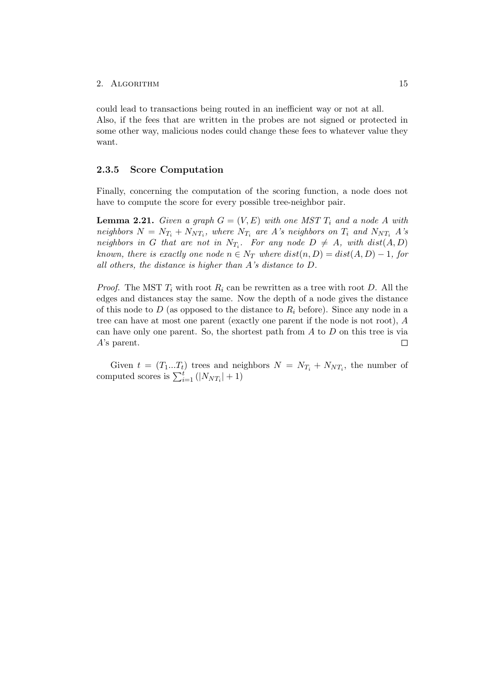could lead to transactions being routed in an inefficient way or not at all. Also, if the fees that are written in the probes are not signed or protected in some other way, malicious nodes could change these fees to whatever value they want.

## <span id="page-17-0"></span>2.3.5 Score Computation

Finally, concerning the computation of the scoring function, a node does not have to compute the score for every possible tree-neighbor pair.

**Lemma 2.21.** Given a graph  $G = (V, E)$  with one MST  $T_i$  and a node A with neighbors  $N = N_{T_i} + N_{NT_i}$ , where  $N_{T_i}$  are A's neighbors on  $T_i$  and  $N_{NT_i}$  A's neighbors in G that are not in  $N_{T_i}$ . For any node  $D \neq A$ , with  $dist(A, D)$ known, there is exactly one node  $n \in N_T$  where  $dist(n, D) = dist(A, D) - 1$ , for all others, the distance is higher than A's distance to D.

*Proof.* The MST  $T_i$  with root  $R_i$  can be rewritten as a tree with root D. All the edges and distances stay the same. Now the depth of a node gives the distance of this node to D (as opposed to the distance to  $R_i$  before). Since any node in a tree can have at most one parent (exactly one parent if the node is not root), A can have only one parent. So, the shortest path from A to D on this tree is via A's parent.  $\Box$ 

Given  $t = (T_1...T_t)$  trees and neighbors  $N = N_{T_i} + N_{NT_i}$ , the number of computed scores is  $\sum_{i=1}^{t} (|N_{NT_i}| + 1)$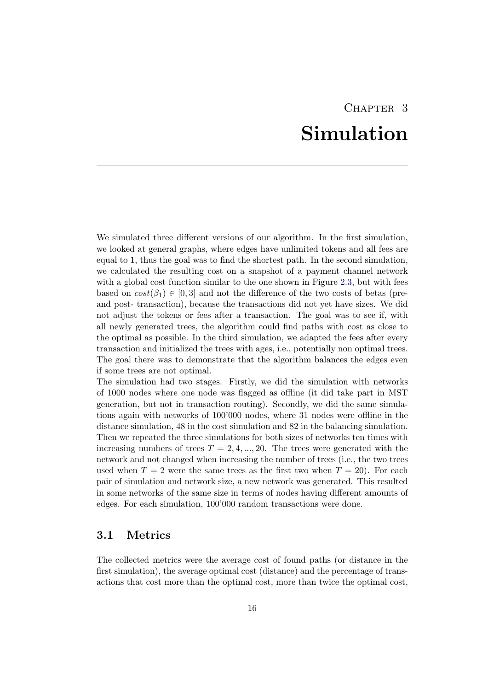# CHAPTER<sub>3</sub> Simulation

<span id="page-18-0"></span>We simulated three different versions of our algorithm. In the first simulation, we looked at general graphs, where edges have unlimited tokens and all fees are equal to 1, thus the goal was to find the shortest path. In the second simulation, we calculated the resulting cost on a snapshot of a payment channel network with a global cost function similar to the one shown in Figure [2.3,](#page-10-0) but with fees based on  $cost(\beta_1) \in [0,3]$  and not the difference of the two costs of betas (preand post- transaction), because the transactions did not yet have sizes. We did not adjust the tokens or fees after a transaction. The goal was to see if, with all newly generated trees, the algorithm could find paths with cost as close to the optimal as possible. In the third simulation, we adapted the fees after every transaction and initialized the trees with ages, i.e., potentially non optimal trees. The goal there was to demonstrate that the algorithm balances the edges even if some trees are not optimal.

The simulation had two stages. Firstly, we did the simulation with networks of 1000 nodes where one node was flagged as offline (it did take part in MST generation, but not in transaction routing). Secondly, we did the same simulations again with networks of 100'000 nodes, where 31 nodes were offline in the distance simulation, 48 in the cost simulation and 82 in the balancing simulation. Then we repeated the three simulations for both sizes of networks ten times with increasing numbers of trees  $T = 2, 4, ..., 20$ . The trees were generated with the network and not changed when increasing the number of trees (i.e., the two trees used when  $T = 2$  were the same trees as the first two when  $T = 20$ ). For each pair of simulation and network size, a new network was generated. This resulted in some networks of the same size in terms of nodes having different amounts of edges. For each simulation, 100'000 random transactions were done.

## <span id="page-18-1"></span>3.1 Metrics

The collected metrics were the average cost of found paths (or distance in the first simulation), the average optimal cost (distance) and the percentage of transactions that cost more than the optimal cost, more than twice the optimal cost,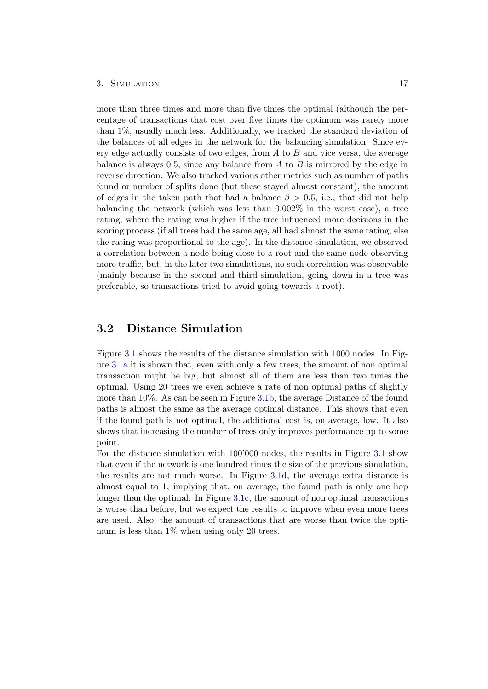#### 3. SIMULATION 17

more than three times and more than five times the optimal (although the percentage of transactions that cost over five times the optimum was rarely more than 1%, usually much less. Additionally, we tracked the standard deviation of the balances of all edges in the network for the balancing simulation. Since every edge actually consists of two edges, from  $A$  to  $B$  and vice versa, the average balance is always 0.5, since any balance from  $A$  to  $B$  is mirrored by the edge in reverse direction. We also tracked various other metrics such as number of paths found or number of splits done (but these stayed almost constant), the amount of edges in the taken path that had a balance  $\beta > 0.5$ , i.e., that did not help balancing the network (which was less than 0.002% in the worst case), a tree rating, where the rating was higher if the tree influenced more decisions in the scoring process (if all trees had the same age, all had almost the same rating, else the rating was proportional to the age). In the distance simulation, we observed a correlation between a node being close to a root and the same node observing more traffic, but, in the later two simulations, no such correlation was observable (mainly because in the second and third simulation, going down in a tree was preferable, so transactions tried to avoid going towards a root).

## <span id="page-19-0"></span>3.2 Distance Simulation

Figure [3.1](#page-20-1) shows the results of the distance simulation with 1000 nodes. In Figure [3.1a](#page-20-1) it is shown that, even with only a few trees, the amount of non optimal transaction might be big, but almost all of them are less than two times the optimal. Using 20 trees we even achieve a rate of non optimal paths of slightly more than 10%. As can be seen in Figure [3.1b,](#page-20-1) the average Distance of the found paths is almost the same as the average optimal distance. This shows that even if the found path is not optimal, the additional cost is, on average, low. It also shows that increasing the number of trees only improves performance up to some point.

For the distance simulation with 100'000 nodes, the results in Figure [3.1](#page-20-1) show that even if the network is one hundred times the size of the previous simulation, the results are not much worse. In Figure [3.1d,](#page-20-1) the average extra distance is almost equal to 1, implying that, on average, the found path is only one hop longer than the optimal. In Figure [3.1c,](#page-20-1) the amount of non optimal transactions is worse than before, but we expect the results to improve when even more trees are used. Also, the amount of transactions that are worse than twice the optimum is less than  $1\%$  when using only 20 trees.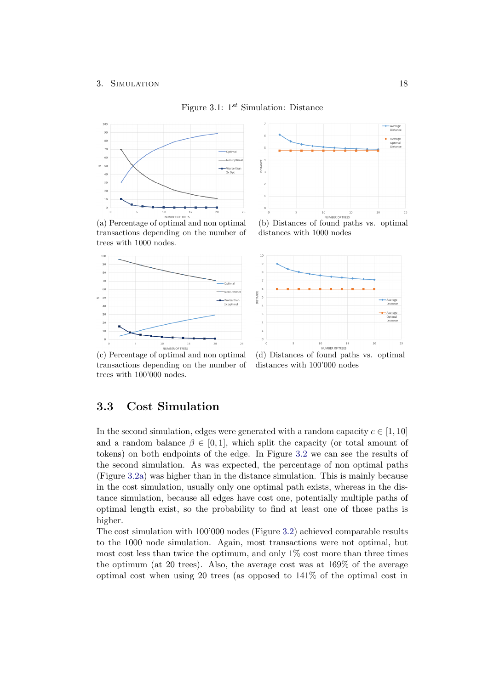## Figure 3.1:  $1^{st}$  Simulation: Distance

<span id="page-20-1"></span>

transactions depending on the number of trees with 1000 nodes.





distances with 1000 nodes



(c) Percentage of optimal and non optimal transactions depending on the number of trees with 100'000 nodes.

(d) Distances of found paths vs. optimal distances with 100'000 nodes

## <span id="page-20-0"></span>3.3 Cost Simulation

In the second simulation, edges were generated with a random capacity  $c \in [1, 10]$ and a random balance  $\beta \in [0, 1]$ , which split the capacity (or total amount of tokens) on both endpoints of the edge. In Figure [3.2](#page-21-1) we can see the results of the second simulation. As was expected, the percentage of non optimal paths (Figure [3.2a\)](#page-21-1) was higher than in the distance simulation. This is mainly because in the cost simulation, usually only one optimal path exists, whereas in the distance simulation, because all edges have cost one, potentially multiple paths of optimal length exist, so the probability to find at least one of those paths is higher.

The cost simulation with 100'000 nodes (Figure [3.2\)](#page-21-1) achieved comparable results to the 1000 node simulation. Again, most transactions were not optimal, but most cost less than twice the optimum, and only 1% cost more than three times the optimum (at 20 trees). Also, the average cost was at 169% of the average optimal cost when using 20 trees (as opposed to 141% of the optimal cost in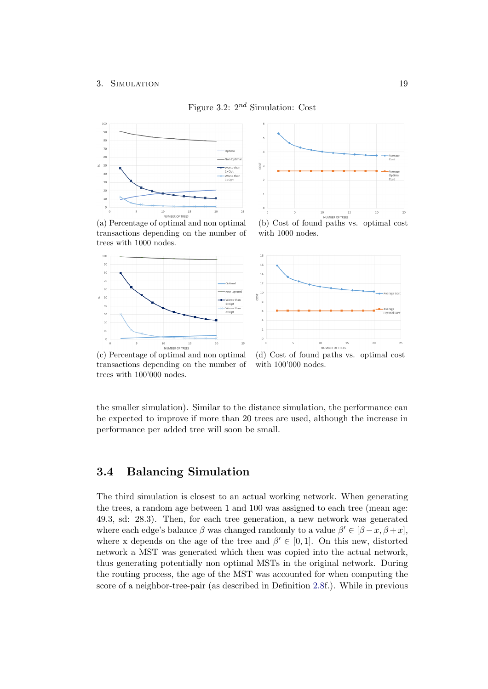<span id="page-21-1"></span>

Figure 3.2:  $2^{nd}$  Simulation: Cost







with 1000 nodes.



transactions depending on the number of trees with 100'000 nodes.

(d) Cost of found paths vs. optimal cost with 100'000 nodes.

the smaller simulation). Similar to the distance simulation, the performance can be expected to improve if more than 20 trees are used, although the increase in performance per added tree will soon be small.

## <span id="page-21-0"></span>3.4 Balancing Simulation

The third simulation is closest to an actual working network. When generating the trees, a random age between 1 and 100 was assigned to each tree (mean age: 49.3, sd: 28.3). Then, for each tree generation, a new network was generated where each edge's balance  $\beta$  was changed randomly to a value  $\beta' \in [\beta - x, \beta + x]$ , where x depends on the age of the tree and  $\beta' \in [0,1]$ . On this new, distorted network a MST was generated which then was copied into the actual network, thus generating potentially non optimal MSTs in the original network. During the routing process, the age of the MST was accounted for when computing the score of a neighbor-tree-pair (as described in Definition [2.8f](#page-10-1).). While in previous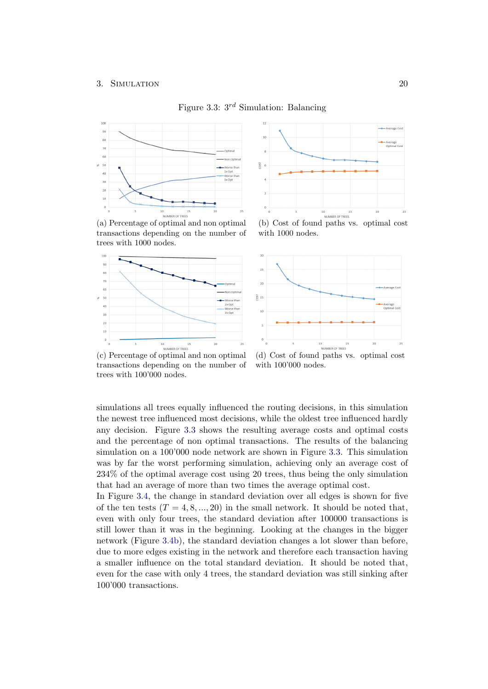<span id="page-22-0"></span>

Figure 3.3:  $3^{rd}$  Simulation: Balancing

(a) Percentage of optimal and non optimal transactions depending on the number of trees with 1000 nodes.





(b) Cost of found paths vs. optimal cost with 1000 nodes.



(c) Percentage of optimal and non optimal transactions depending on the number of trees with 100'000 nodes.

(d) Cost of found paths vs. optimal cost with 100'000 nodes.

simulations all trees equally influenced the routing decisions, in this simulation the newest tree influenced most decisions, while the oldest tree influenced hardly any decision. Figure [3.3](#page-22-0) shows the resulting average costs and optimal costs and the percentage of non optimal transactions. The results of the balancing simulation on a 100'000 node network are shown in Figure [3.3.](#page-22-0) This simulation was by far the worst performing simulation, achieving only an average cost of 234% of the optimal average cost using 20 trees, thus being the only simulation that had an average of more than two times the average optimal cost.

In Figure [3.4,](#page-23-0) the change in standard deviation over all edges is shown for five of the ten tests  $(T = 4, 8, ..., 20)$  in the small network. It should be noted that, even with only four trees, the standard deviation after 100000 transactions is still lower than it was in the beginning. Looking at the changes in the bigger network (Figure [3.4b\)](#page-23-0), the standard deviation changes a lot slower than before, due to more edges existing in the network and therefore each transaction having a smaller influence on the total standard deviation. It should be noted that, even for the case with only 4 trees, the standard deviation was still sinking after 100'000 transactions.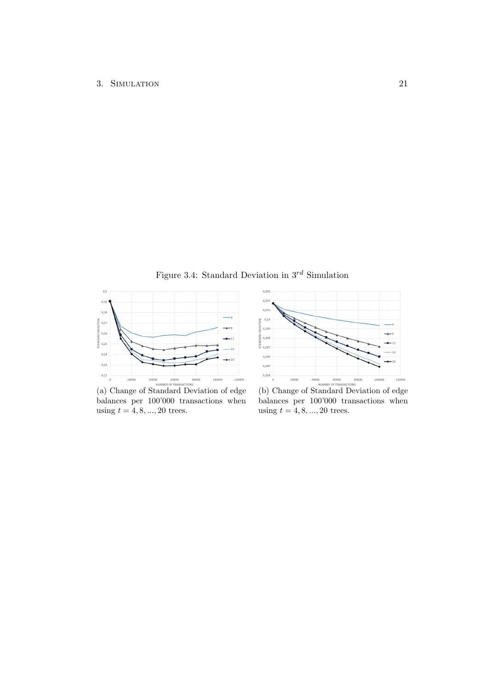Figure 3.4: Standard Deviation in  $3^{rd}$  Simulation

<span id="page-23-0"></span>

(a) Change of Standard Deviation of edge balances per 100'000 transactions when using  $t = 4, 8, ..., 20$  trees.



balances per 100'000 transactions when using  $t = 4, 8, ..., 20$  trees.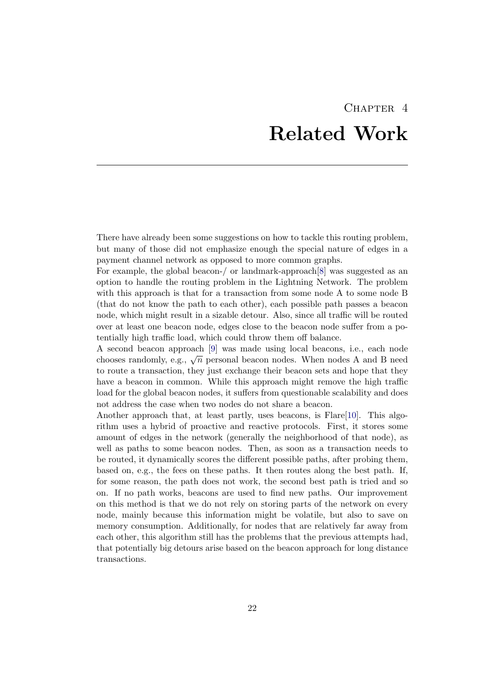# CHAPTER<sub>4</sub> Related Work

<span id="page-24-0"></span>There have already been some suggestions on how to tackle this routing problem, but many of those did not emphasize enough the special nature of edges in a payment channel network as opposed to more common graphs.

For example, the global beacon-/ or landmark-approach[\[8\]](#page-29-8) was suggested as an option to handle the routing problem in the Lightning Network. The problem with this approach is that for a transaction from some node A to some node B (that do not know the path to each other), each possible path passes a beacon node, which might result in a sizable detour. Also, since all traffic will be routed over at least one beacon node, edges close to the beacon node suffer from a potentially high traffic load, which could throw them off balance.

A second beacon approach [\[9\]](#page-29-9) was made using local beacons, i.e., each node A second beacon approach  $\lfloor 3 \rfloor$  was made using local beacons, i.e., each nodes chooses randomly, e.g.,  $\sqrt{n}$  personal beacon nodes. When nodes A and B need to route a transaction, they just exchange their beacon sets and hope that they have a beacon in common. While this approach might remove the high traffic load for the global beacon nodes, it suffers from questionable scalability and does not address the case when two nodes do not share a beacon.

Another approach that, at least partly, uses beacons, is Flare[\[10\]](#page-29-10). This algorithm uses a hybrid of proactive and reactive protocols. First, it stores some amount of edges in the network (generally the neighborhood of that node), as well as paths to some beacon nodes. Then, as soon as a transaction needs to be routed, it dynamically scores the different possible paths, after probing them, based on, e.g., the fees on these paths. It then routes along the best path. If, for some reason, the path does not work, the second best path is tried and so on. If no path works, beacons are used to find new paths. Our improvement on this method is that we do not rely on storing parts of the network on every node, mainly because this information might be volatile, but also to save on memory consumption. Additionally, for nodes that are relatively far away from each other, this algorithm still has the problems that the previous attempts had, that potentially big detours arise based on the beacon approach for long distance transactions.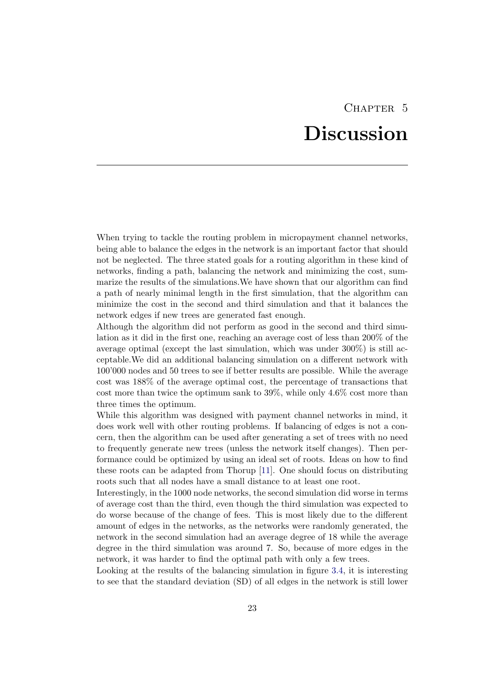## CHAPTER<sub>5</sub> Discussion

<span id="page-25-0"></span>When trying to tackle the routing problem in micropayment channel networks, being able to balance the edges in the network is an important factor that should not be neglected. The three stated goals for a routing algorithm in these kind of networks, finding a path, balancing the network and minimizing the cost, summarize the results of the simulations.We have shown that our algorithm can find a path of nearly minimal length in the first simulation, that the algorithm can minimize the cost in the second and third simulation and that it balances the network edges if new trees are generated fast enough.

Although the algorithm did not perform as good in the second and third simulation as it did in the first one, reaching an average cost of less than 200% of the average optimal (except the last simulation, which was under 300%) is still acceptable.We did an additional balancing simulation on a different network with 100'000 nodes and 50 trees to see if better results are possible. While the average cost was 188% of the average optimal cost, the percentage of transactions that cost more than twice the optimum sank to 39%, while only 4.6% cost more than three times the optimum.

While this algorithm was designed with payment channel networks in mind, it does work well with other routing problems. If balancing of edges is not a concern, then the algorithm can be used after generating a set of trees with no need to frequently generate new trees (unless the network itself changes). Then performance could be optimized by using an ideal set of roots. Ideas on how to find these roots can be adapted from Thorup [\[11\]](#page-29-11). One should focus on distributing roots such that all nodes have a small distance to at least one root.

Interestingly, in the 1000 node networks, the second simulation did worse in terms of average cost than the third, even though the third simulation was expected to do worse because of the change of fees. This is most likely due to the different amount of edges in the networks, as the networks were randomly generated, the network in the second simulation had an average degree of 18 while the average degree in the third simulation was around 7. So, because of more edges in the network, it was harder to find the optimal path with only a few trees.

Looking at the results of the balancing simulation in figure [3.4,](#page-23-0) it is interesting to see that the standard deviation (SD) of all edges in the network is still lower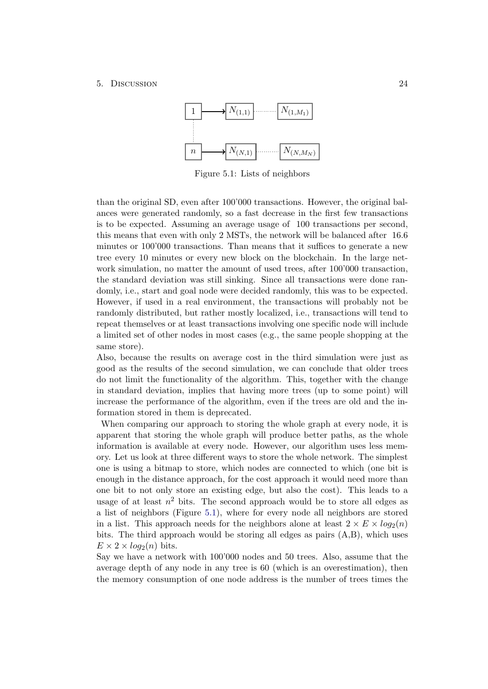### <span id="page-26-0"></span>5. Discussion 24



Figure 5.1: Lists of neighbors

than the original SD, even after 100'000 transactions. However, the original balances were generated randomly, so a fast decrease in the first few transactions is to be expected. Assuming an average usage of 100 transactions per second, this means that even with only 2 MSTs, the network will be balanced after 16.6 minutes or 100'000 transactions. Than means that it suffices to generate a new tree every 10 minutes or every new block on the blockchain. In the large network simulation, no matter the amount of used trees, after  $100'000$  transaction, the standard deviation was still sinking. Since all transactions were done randomly, i.e., start and goal node were decided randomly, this was to be expected. However, if used in a real environment, the transactions will probably not be randomly distributed, but rather mostly localized, i.e., transactions will tend to repeat themselves or at least transactions involving one specific node will include a limited set of other nodes in most cases (e.g., the same people shopping at the same store).

Also, because the results on average cost in the third simulation were just as good as the results of the second simulation, we can conclude that older trees do not limit the functionality of the algorithm. This, together with the change in standard deviation, implies that having more trees (up to some point) will increase the performance of the algorithm, even if the trees are old and the information stored in them is deprecated.

When comparing our approach to storing the whole graph at every node, it is apparent that storing the whole graph will produce better paths, as the whole information is available at every node. However, our algorithm uses less memory. Let us look at three different ways to store the whole network. The simplest one is using a bitmap to store, which nodes are connected to which (one bit is enough in the distance approach, for the cost approach it would need more than one bit to not only store an existing edge, but also the cost). This leads to a usage of at least  $n^2$  bits. The second approach would be to store all edges as a list of neighbors (Figure [5.1\)](#page-26-0), where for every node all neighbors are stored in a list. This approach needs for the neighbors alone at least  $2 \times E \times log_2(n)$ bits. The third approach would be storing all edges as pairs  $(A,B)$ , which uses  $E \times 2 \times log_2(n)$  bits.

Say we have a network with 100'000 nodes and 50 trees. Also, assume that the average depth of any node in any tree is 60 (which is an overestimation), then the memory consumption of one node address is the number of trees times the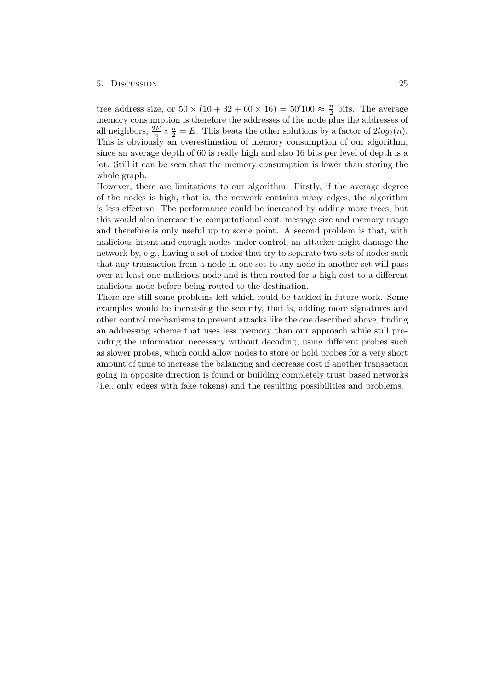#### 5. Discussion 25

tree address size, or  $50 \times (10 + 32 + 60 \times 16) = 50'100 \approx \frac{n}{2}$  $\frac{n}{2}$  bits. The average memory consumption is therefore the addresses of the node plus the addresses of all neighbors,  $\frac{2E}{n} \times \frac{n}{2} = E$ . This beats the other solutions by a factor of  $2log_2(n)$ . This is obviously an overestimation of memory consumption of our algorithm, since an average depth of 60 is really high and also 16 bits per level of depth is a lot. Still it can be seen that the memory consumption is lower than storing the whole graph.

However, there are limitations to our algorithm. Firstly, if the average degree of the nodes is high, that is, the network contains many edges, the algorithm is less effective. The performance could be increased by adding more trees, but this would also increase the computational cost, message size and memory usage and therefore is only useful up to some point. A second problem is that, with malicious intent and enough nodes under control, an attacker might damage the network by, e.g., having a set of nodes that try to separate two sets of nodes such that any transaction from a node in one set to any node in another set will pass over at least one malicious node and is then routed for a high cost to a different malicious node before being routed to the destination.

There are still some problems left which could be tackled in future work. Some examples would be increasing the security, that is, adding more signatures and other control mechanisms to prevent attacks like the one described above, finding an addressing scheme that uses less memory than our approach while still providing the information necessary without decoding, using different probes such as slower probes, which could allow nodes to store or hold probes for a very short amount of time to increase the balancing and decrease cost if another transaction going in opposite direction is found or building completely trust based networks (i.e., only edges with fake tokens) and the resulting possibilities and problems.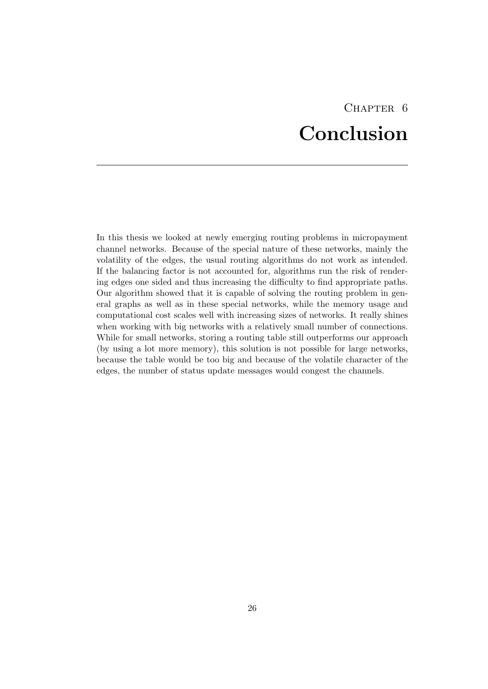# CHAPTER<sub>6</sub> Conclusion

<span id="page-28-0"></span>In this thesis we looked at newly emerging routing problems in micropayment channel networks. Because of the special nature of these networks, mainly the volatility of the edges, the usual routing algorithms do not work as intended. If the balancing factor is not accounted for, algorithms run the risk of rendering edges one sided and thus increasing the difficulty to find appropriate paths. Our algorithm showed that it is capable of solving the routing problem in general graphs as well as in these special networks, while the memory usage and computational cost scales well with increasing sizes of networks. It really shines when working with big networks with a relatively small number of connections. While for small networks, storing a routing table still outperforms our approach (by using a lot more memory), this solution is not possible for large networks, because the table would be too big and because of the volatile character of the edges, the number of status update messages would congest the channels.